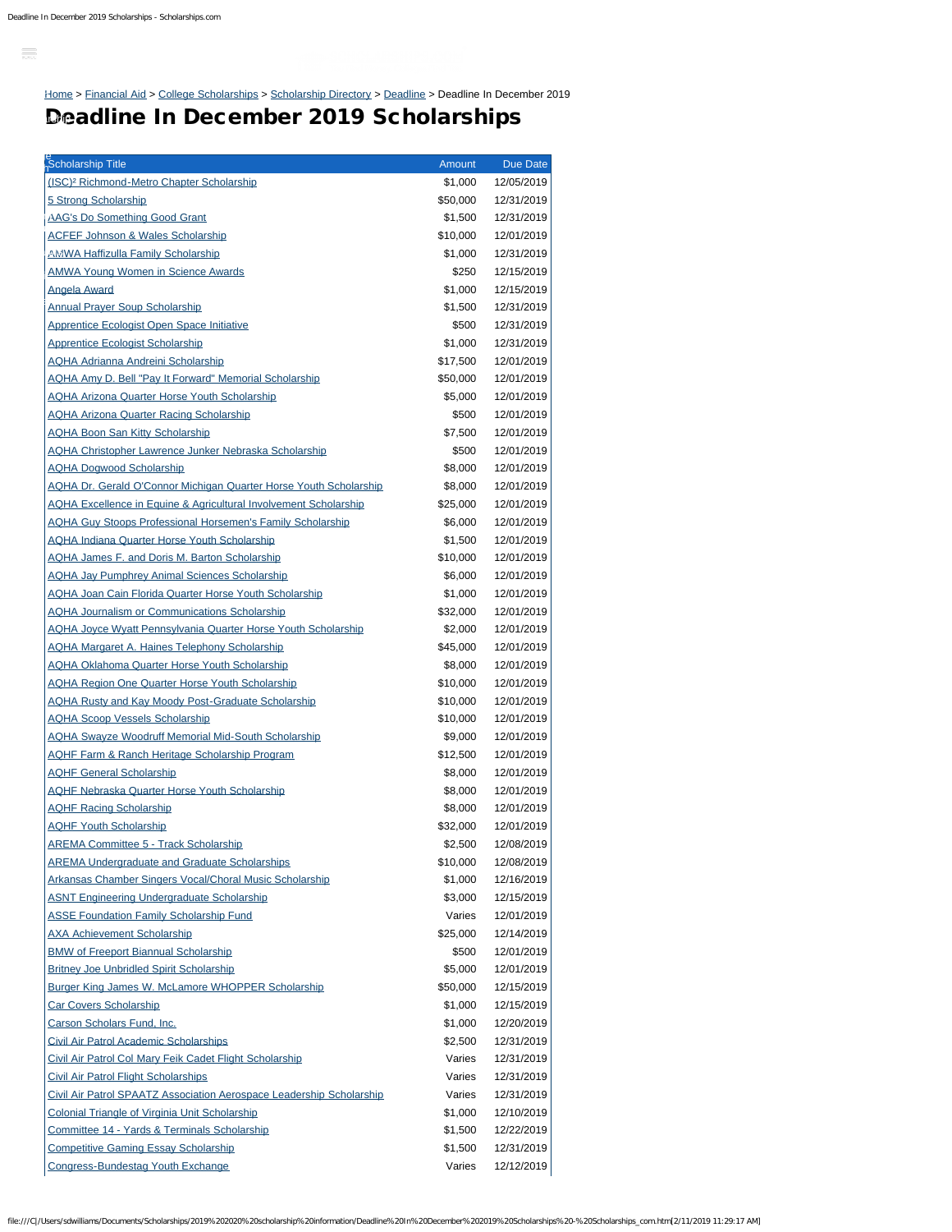$\equiv$ 

[Home](https://www.scholarships.com/) > [Financial Aid](https://www.scholarships.com/financial-aid/) > [College Scholarships](https://www.scholarships.com/financial-aid/college-scholarships/) > [Scholarship Directory](https://www.scholarships.com/financial-aid/college-scholarships/scholarship-directory/) > [Deadline](https://www.scholarships.com/financial-aid/college-scholarships/scholarship-directory/deadline/) > Deadline In December 2019 [Scholarship](https://www.scholarships.com/scholarship-search) [Search](https://www.scholarships.com/scholarship-search)

## Deadline In December 2019 Scholarships [Scholarship](https://www.scholarships.com/scholarship-directory)

| Scholarship Title                                                           | Amount   | Due Date   |
|-----------------------------------------------------------------------------|----------|------------|
| (ISC) <sup>2</sup> Richmond-Metro Chapter Scholarship                       | \$1,000  | 12/05/2019 |
| 5 Strong Scholarship                                                        | \$50,000 | 12/31/2019 |
| <b>AAG's Do Something Good Grant</b>                                        | \$1,500  | 12/31/2019 |
| <b>ACFEF Johnson &amp; Wales Scholarship</b>                                | \$10,000 | 12/01/2019 |
| <b>AMWA Haffizulla Family Scholarship</b>                                   | \$1,000  | 12/31/2019 |
| <b>AMWA Young Women in Science Awards</b>                                   | \$250    | 12/15/2019 |
| <b>Angela Award</b>                                                         | \$1,000  | 12/15/2019 |
| <b>Annual Prayer Soup Scholarship</b>                                       | \$1,500  | 12/31/2019 |
| Apprentice Ecologist Open Space Initiative                                  | \$500    | 12/31/2019 |
| <b>Apprentice Ecologist Scholarship</b>                                     | \$1,000  | 12/31/2019 |
| <b>AQHA Adrianna Andreini Scholarship</b>                                   | \$17,500 | 12/01/2019 |
| <b>AQHA Amy D. Bell "Pay It Forward" Memorial Scholarship</b>               | \$50,000 | 12/01/2019 |
| <b>AQHA Arizona Quarter Horse Youth Scholarship</b>                         | \$5,000  | 12/01/2019 |
| <b>AQHA Arizona Quarter Racing Scholarship</b>                              | \$500    | 12/01/2019 |
| <b>AQHA Boon San Kitty Scholarship</b>                                      | \$7,500  | 12/01/2019 |
| <b>AQHA Christopher Lawrence Junker Nebraska Scholarship</b>                | \$500    | 12/01/2019 |
| <b>AQHA Dogwood Scholarship</b>                                             | \$8,000  | 12/01/2019 |
| <b>AQHA Dr. Gerald O'Connor Michigan Quarter Horse Youth Scholarship</b>    | \$8,000  | 12/01/2019 |
| <b>AQHA Excellence in Equine &amp; Agricultural Involvement Scholarship</b> | \$25,000 | 12/01/2019 |
| <b>AQHA Guy Stoops Professional Horsemen's Family Scholarship</b>           | \$6,000  | 12/01/2019 |
| <b>AQHA Indiana Quarter Horse Youth Scholarship</b>                         | \$1,500  | 12/01/2019 |
| <b>AQHA James F. and Doris M. Barton Scholarship</b>                        | \$10,000 | 12/01/2019 |
| <b>AQHA Jay Pumphrey Animal Sciences Scholarship</b>                        | \$6,000  | 12/01/2019 |
| <b>AQHA Joan Cain Florida Quarter Horse Youth Scholarship</b>               | \$1,000  | 12/01/2019 |
| <b>AQHA Journalism or Communications Scholarship</b>                        | \$32,000 | 12/01/2019 |
| <b>AQHA Joyce Wyatt Pennsylvania Quarter Horse Youth Scholarship</b>        | \$2,000  | 12/01/2019 |
| <b>AQHA Margaret A. Haines Telephony Scholarship</b>                        | \$45,000 | 12/01/2019 |
| <b>AQHA Oklahoma Quarter Horse Youth Scholarship</b>                        | \$8,000  | 12/01/2019 |
| <b>AQHA Region One Quarter Horse Youth Scholarship</b>                      | \$10,000 | 12/01/2019 |
| <b>AQHA Rusty and Kay Moody Post-Graduate Scholarship</b>                   | \$10,000 | 12/01/2019 |
| <b>AQHA Scoop Vessels Scholarship</b>                                       | \$10,000 | 12/01/2019 |
| <b>AQHA Swayze Woodruff Memorial Mid-South Scholarship</b>                  | \$9,000  | 12/01/2019 |
| <b>AQHF Farm &amp; Ranch Heritage Scholarship Program</b>                   | \$12,500 | 12/01/2019 |
| <b>AQHF General Scholarship</b>                                             | \$8,000  | 12/01/2019 |
| <b>AQHF Nebraska Quarter Horse Youth Scholarship</b>                        | \$8,000  | 12/01/2019 |
| <b>AQHF Racing Scholarship</b>                                              | \$8,000  | 12/01/2019 |
| <b>AQHF Youth Scholarship</b>                                               | \$32,000 | 12/01/2019 |
| <b>AREMA Committee 5 - Track Scholarship</b>                                | \$2,500  | 12/08/2019 |
| <b>AREMA Undergraduate and Graduate Scholarships</b>                        | \$10,000 | 12/08/2019 |
| Arkansas Chamber Singers Vocal/Choral Music Scholarship                     | \$1,000  | 12/16/2019 |
| <b>ASNT Engineering Undergraduate Scholarship</b>                           | \$3,000  | 12/15/2019 |
| <b>ASSE Foundation Family Scholarship Fund</b>                              | Varies   | 12/01/2019 |
| <b>AXA Achievement Scholarship</b>                                          | \$25,000 | 12/14/2019 |
| <b>BMW of Freeport Biannual Scholarship</b>                                 | \$500    | 12/01/2019 |
| <b>Britney Joe Unbridled Spirit Scholarship</b>                             | \$5,000  | 12/01/2019 |
| <b>Burger King James W. McLamore WHOPPER Scholarship</b>                    | \$50,000 | 12/15/2019 |
| <b>Car Covers Scholarship</b>                                               | \$1,000  | 12/15/2019 |
| <b>Carson Scholars Fund, Inc.</b>                                           | \$1,000  | 12/20/2019 |
| <b>Civil Air Patrol Academic Scholarships</b>                               | \$2,500  | 12/31/2019 |
| Civil Air Patrol Col Mary Feik Cadet Flight Scholarship                     | Varies   | 12/31/2019 |
| <b>Civil Air Patrol Flight Scholarships</b>                                 | Varies   | 12/31/2019 |
| <b>Civil Air Patrol SPAATZ Association Aerospace Leadership Scholarship</b> | Varies   | 12/31/2019 |
| <b>Colonial Triangle of Virginia Unit Scholarship</b>                       | \$1,000  | 12/10/2019 |
| Committee 14 - Yards & Terminals Scholarship                                | \$1,500  | 12/22/2019 |
| <b>Competitive Gaming Essay Scholarship</b>                                 | \$1,500  | 12/31/2019 |
| Congress-Bundestag Youth Exchange                                           | Varies   | 12/12/2019 |

file:///C|/Users/sdwilliams/Documents/Scholarships/2019%202020%20scholarship%20information/Deadline%20In%20December%202019%20Scholarships%20-%20Scholarships\_com.htm[2/11/2019 11:29:17 AM]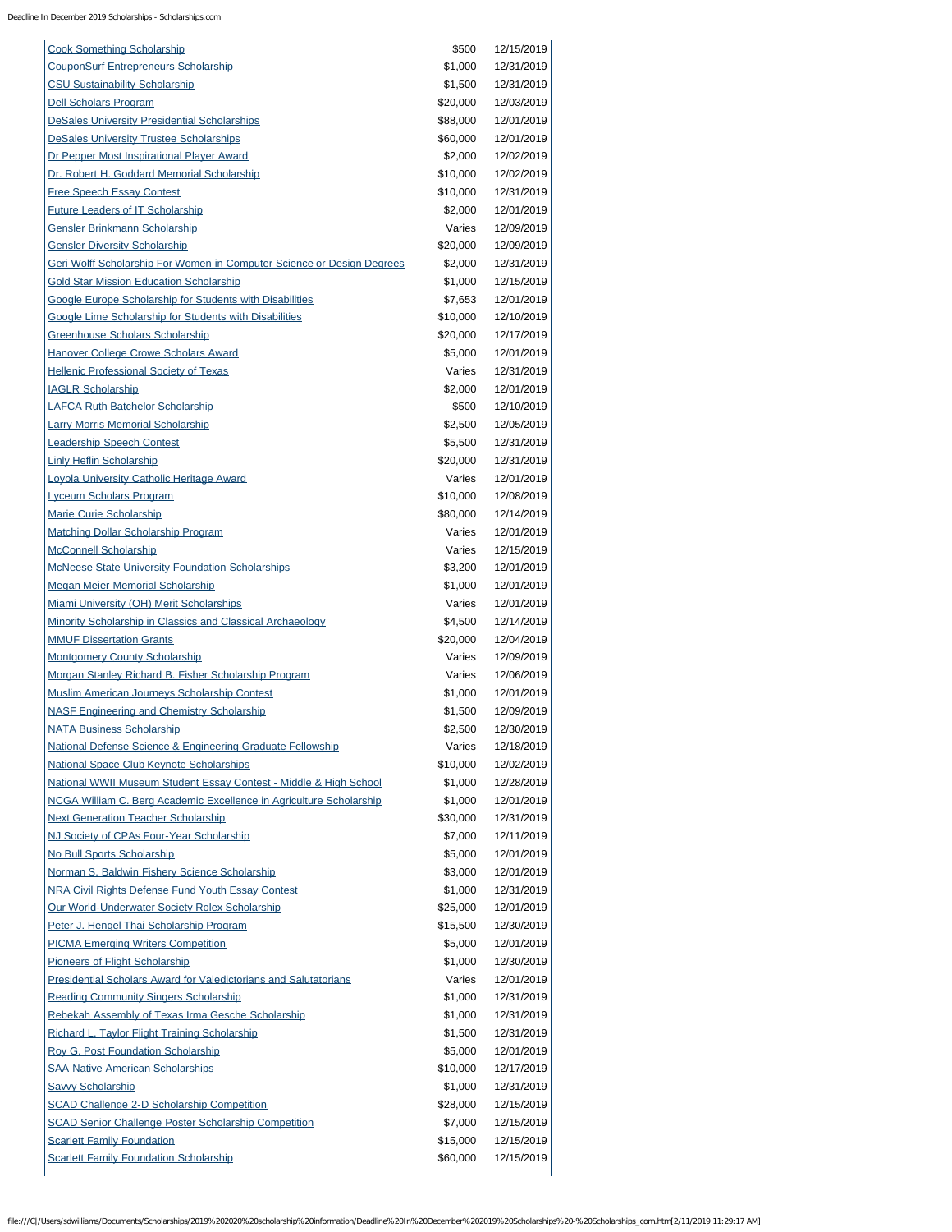Deadline In December 2019 Scholarships - Scholarships.com

| <b>Cook Something Scholarship</b>                                       | \$500    | 12/15/2019 |
|-------------------------------------------------------------------------|----------|------------|
| <b>CouponSurf Entrepreneurs Scholarship</b>                             | \$1,000  | 12/31/2019 |
| <b>CSU Sustainability Scholarship</b>                                   | \$1,500  | 12/31/2019 |
| Dell Scholars Program                                                   | \$20,000 | 12/03/2019 |
| <b>DeSales University Presidential Scholarships</b>                     | \$88,000 | 12/01/2019 |
| <b>DeSales University Trustee Scholarships</b>                          | \$60,000 | 12/01/2019 |
| Dr Pepper Most Inspirational Player Award                               | \$2,000  | 12/02/2019 |
| Dr. Robert H. Goddard Memorial Scholarship                              | \$10,000 | 12/02/2019 |
| <b>Free Speech Essay Contest</b>                                        | \$10,000 | 12/31/2019 |
| <b>Future Leaders of IT Scholarship</b>                                 | \$2,000  | 12/01/2019 |
| <b>Gensler Brinkmann Scholarship</b>                                    | Varies   | 12/09/2019 |
| <b>Gensler Diversity Scholarship</b>                                    | \$20,000 | 12/09/2019 |
| Geri Wolff Scholarship For Women in Computer Science or Design Degrees  | \$2,000  | 12/31/2019 |
| <b>Gold Star Mission Education Scholarship</b>                          | \$1,000  | 12/15/2019 |
| Google Europe Scholarship for Students with Disabilities                | \$7,653  | 12/01/2019 |
| Google Lime Scholarship for Students with Disabilities                  | \$10,000 | 12/10/2019 |
| <b>Greenhouse Scholars Scholarship</b>                                  | \$20,000 | 12/17/2019 |
| <b>Hanover College Crowe Scholars Award</b>                             | \$5,000  | 12/01/2019 |
| <b>Hellenic Professional Society of Texas</b>                           | Varies   | 12/31/2019 |
| <b>IAGLR Scholarship</b>                                                | \$2,000  | 12/01/2019 |
| <b>LAFCA Ruth Batchelor Scholarship</b>                                 | \$500    | 12/10/2019 |
| <b>Larry Morris Memorial Scholarship</b>                                | \$2,500  | 12/05/2019 |
| <b>Leadership Speech Contest</b>                                        | \$5,500  | 12/31/2019 |
| <b>Linly Heflin Scholarship</b>                                         | \$20,000 | 12/31/2019 |
| Loyola University Catholic Heritage Award                               | Varies   | 12/01/2019 |
| <b>Lyceum Scholars Program</b>                                          | \$10,000 | 12/08/2019 |
| <b>Marie Curie Scholarship</b>                                          | \$80,000 | 12/14/2019 |
| Matching Dollar Scholarship Program                                     | Varies   | 12/01/2019 |
| <b>McConnell Scholarship</b>                                            | Varies   | 12/15/2019 |
| <b>McNeese State University Foundation Scholarships</b>                 | \$3,200  | 12/01/2019 |
| <b>Megan Meier Memorial Scholarship</b>                                 | \$1,000  | 12/01/2019 |
| <b>Miami University (OH) Merit Scholarships</b>                         | Varies   | 12/01/2019 |
| Minority Scholarship in Classics and Classical Archaeology              | \$4,500  | 12/14/2019 |
| <b>MMUF Dissertation Grants</b>                                         | \$20,000 | 12/04/2019 |
| <b>Montgomery County Scholarship</b>                                    | Varies   | 12/09/2019 |
| Morgan Stanley Richard B. Fisher Scholarship Program                    | Varies   | 12/06/2019 |
| Muslim American Journeys Scholarship Contest                            | \$1,000  | 12/01/2019 |
| <b>NASF Engineering and Chemistry Scholarship</b>                       | \$1,500  | 12/09/2019 |
| <b>NATA Business Scholarship</b>                                        | \$2,500  | 12/30/2019 |
| National Defense Science & Engineering Graduate Fellowship              | Varies   | 12/18/2019 |
| <b>National Space Club Keynote Scholarships</b>                         | \$10,000 | 12/02/2019 |
| National WWII Museum Student Essay Contest - Middle & High School       | \$1,000  | 12/28/2019 |
| NCGA William C. Berg Academic Excellence in Agriculture Scholarship     | \$1,000  | 12/01/2019 |
| <b>Next Generation Teacher Scholarship</b>                              | \$30,000 | 12/31/2019 |
| NJ Society of CPAs Four-Year Scholarship                                | \$7,000  | 12/11/2019 |
| No Bull Sports Scholarship                                              | \$5,000  | 12/01/2019 |
| Norman S. Baldwin Fishery Science Scholarship                           | \$3,000  | 12/01/2019 |
| <b>NRA Civil Rights Defense Fund Youth Essay Contest</b>                | \$1,000  | 12/31/2019 |
| Our World-Underwater Society Rolex Scholarship                          | \$25,000 | 12/01/2019 |
| Peter J. Hengel Thai Scholarship Program                                | \$15,500 | 12/30/2019 |
| <b>PICMA Emerging Writers Competition</b>                               | \$5,000  | 12/01/2019 |
| Pioneers of Flight Scholarship                                          | \$1,000  | 12/30/2019 |
| <b>Presidential Scholars Award for Valedictorians and Salutatorians</b> | Varies   | 12/01/2019 |
| <b>Reading Community Singers Scholarship</b>                            | \$1,000  | 12/31/2019 |
| Rebekah Assembly of Texas Irma Gesche Scholarship                       | \$1,000  | 12/31/2019 |
| <b>Richard L. Taylor Flight Training Scholarship</b>                    | \$1,500  | 12/31/2019 |
| Roy G. Post Foundation Scholarship                                      | \$5,000  | 12/01/2019 |
| <b>SAA Native American Scholarships</b>                                 | \$10,000 | 12/17/2019 |
| <b>Savvy Scholarship</b>                                                | \$1,000  | 12/31/2019 |
| <b>SCAD Challenge 2-D Scholarship Competition</b>                       | \$28,000 | 12/15/2019 |
| <b>SCAD Senior Challenge Poster Scholarship Competition</b>             | \$7,000  | 12/15/2019 |
| <b>Scarlett Family Foundation</b>                                       | \$15,000 | 12/15/2019 |
| <b>Scarlett Family Foundation Scholarship</b>                           | \$60,000 | 12/15/2019 |

file:///C|/Users/sdwilliams/Documents/Scholarships/2019%202020%20scholarship%20information/Deadline%20In%20December%202019%20Scholarships%20-%20Scholarships\_com.htm[2/11/2019 11:29:17 AM]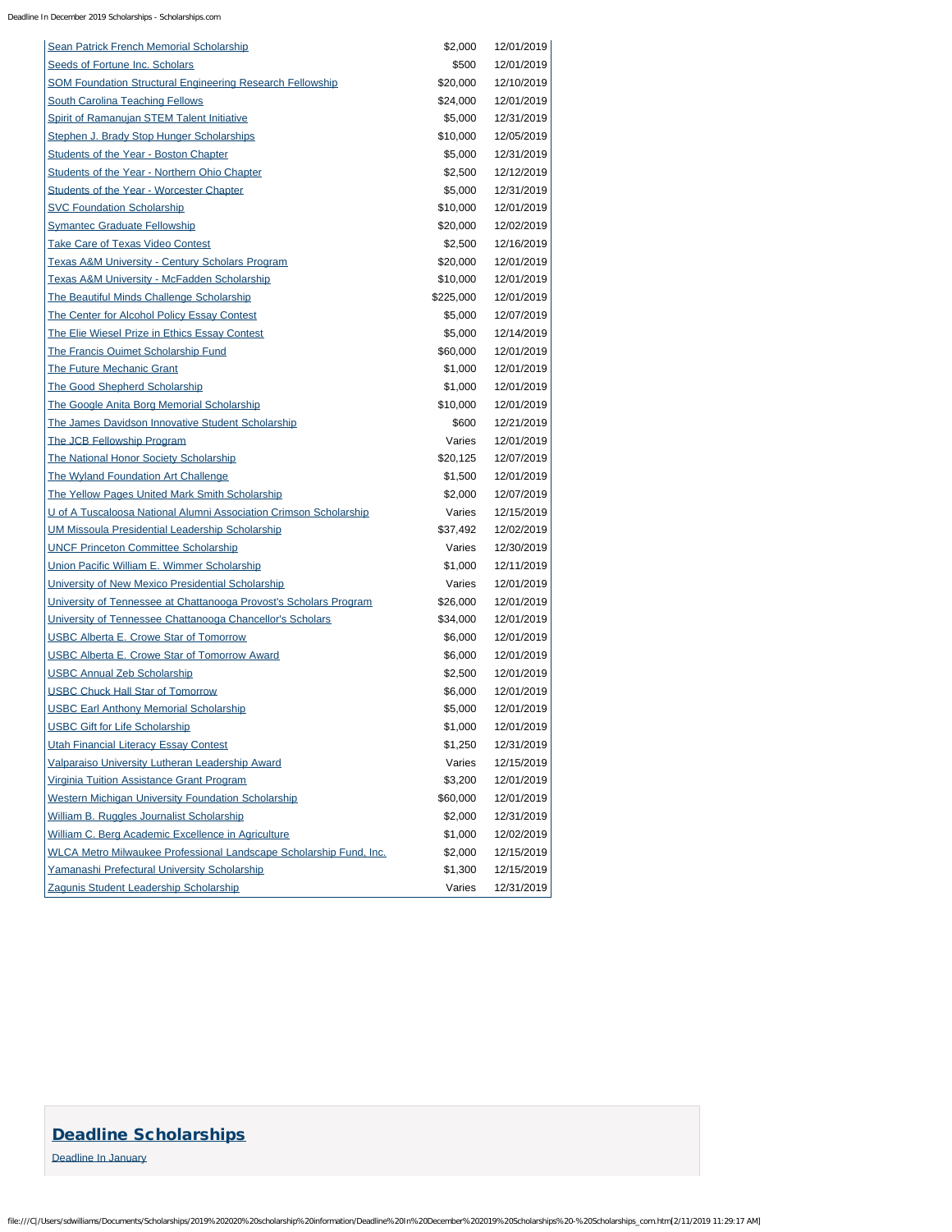Deadline In December 2019 Scholarships - Scholarships.com

| <b>Sean Patrick French Memorial Scholarship</b>                           | \$2,000   | 12/01/2019 |
|---------------------------------------------------------------------------|-----------|------------|
| Seeds of Fortune Inc. Scholars                                            | \$500     | 12/01/2019 |
| <b>SOM Foundation Structural Engineering Research Fellowship</b>          | \$20,000  | 12/10/2019 |
| <b>South Carolina Teaching Fellows</b>                                    | \$24,000  | 12/01/2019 |
| Spirit of Ramanujan STEM Talent Initiative                                | \$5,000   | 12/31/2019 |
| <b>Stephen J. Brady Stop Hunger Scholarships</b>                          | \$10,000  | 12/05/2019 |
| <b>Students of the Year - Boston Chapter</b>                              | \$5,000   | 12/31/2019 |
| Students of the Year - Northern Ohio Chapter                              | \$2,500   | 12/12/2019 |
| <b>Students of the Year - Worcester Chapter</b>                           | \$5,000   | 12/31/2019 |
| <b>SVC Foundation Scholarship</b>                                         | \$10,000  | 12/01/2019 |
| <b>Symantec Graduate Fellowship</b>                                       | \$20,000  | 12/02/2019 |
| <b>Take Care of Texas Video Contest</b>                                   | \$2,500   | 12/16/2019 |
| <b>Texas A&amp;M University - Century Scholars Program</b>                | \$20,000  | 12/01/2019 |
| <b>Texas A&amp;M University - McFadden Scholarship</b>                    | \$10,000  | 12/01/2019 |
| <b>The Beautiful Minds Challenge Scholarship</b>                          | \$225,000 | 12/01/2019 |
| <b>The Center for Alcohol Policy Essay Contest</b>                        | \$5,000   | 12/07/2019 |
| The Elie Wiesel Prize in Ethics Essay Contest                             | \$5,000   | 12/14/2019 |
| <b>The Francis Ouimet Scholarship Fund</b>                                | \$60,000  | 12/01/2019 |
| <b>The Future Mechanic Grant</b>                                          | \$1,000   | 12/01/2019 |
| <b>The Good Shepherd Scholarship</b>                                      | \$1,000   | 12/01/2019 |
| The Google Anita Borg Memorial Scholarship                                | \$10,000  | 12/01/2019 |
| The James Davidson Innovative Student Scholarship                         | \$600     | 12/21/2019 |
| The JCB Fellowship Program                                                | Varies    | 12/01/2019 |
| <b>The National Honor Society Scholarship</b>                             | \$20,125  | 12/07/2019 |
| <b>The Wyland Foundation Art Challenge</b>                                | \$1,500   | 12/01/2019 |
| <b>The Yellow Pages United Mark Smith Scholarship</b>                     | \$2,000   | 12/07/2019 |
| U of A Tuscaloosa National Alumni Association Crimson Scholarship         | Varies    | 12/15/2019 |
| <b>UM Missoula Presidential Leadership Scholarship</b>                    | \$37,492  | 12/02/2019 |
| <b>UNCF Princeton Committee Scholarship</b>                               | Varies    | 12/30/2019 |
| Union Pacific William E. Wimmer Scholarship                               | \$1,000   | 12/11/2019 |
| University of New Mexico Presidential Scholarship                         | Varies    | 12/01/2019 |
| University of Tennessee at Chattanooga Provost's Scholars Program         | \$26,000  | 12/01/2019 |
| University of Tennessee Chattanooga Chancellor's Scholars                 | \$34,000  | 12/01/2019 |
| <b>USBC Alberta E. Crowe Star of Tomorrow</b>                             | \$6,000   | 12/01/2019 |
| <b>USBC Alberta E. Crowe Star of Tomorrow Award</b>                       | \$6,000   | 12/01/2019 |
| <b>USBC Annual Zeb Scholarship</b>                                        | \$2,500   | 12/01/2019 |
| <b>USBC Chuck Hall Star of Tomorrow</b>                                   | \$6,000   | 12/01/2019 |
| <b>USBC Earl Anthony Memorial Scholarship</b>                             | \$5,000   | 12/01/2019 |
| <b>USBC Gift for Life Scholarship</b>                                     | \$1,000   | 12/01/2019 |
| <b>Utah Financial Literacy Essay Contest</b>                              | \$1,250   | 12/31/2019 |
| Valparaiso University Lutheran Leadership Award                           | Varies    | 12/15/2019 |
| Virginia Tuition Assistance Grant Program                                 | \$3,200   | 12/01/2019 |
| <b>Western Michigan University Foundation Scholarship</b>                 | \$60,000  | 12/01/2019 |
| William B. Ruggles Journalist Scholarship                                 | \$2,000   | 12/31/2019 |
| William C. Berg Academic Excellence in Agriculture                        | \$1,000   | 12/02/2019 |
| <u>WLCA Metro Milwaukee Professional Landscape Scholarship Fund, Inc.</u> | \$2,000   | 12/15/2019 |
| Yamanashi Prefectural University Scholarship                              | \$1,300   | 12/15/2019 |
| Zagunis Student Leadership Scholarship                                    | Varies    | 12/31/2019 |
|                                                                           |           |            |

### [Deadline Scholarships](https://www.scholarships.com/financial-aid/college-scholarships/scholarship-directory/deadline)

[Deadline In January](https://www.scholarships.com/financial-aid/college-scholarships/scholarship-directory/deadline/deadline-in-january)

file:///C|/Users/sdwilliams/Documents/Scholarships/2019%202020%20scholarship%20information/Deadline%20In%20December%202019%20Scholarships%20-%20Scholarships\_com.htm[2/11/2019 11:29:17 AM]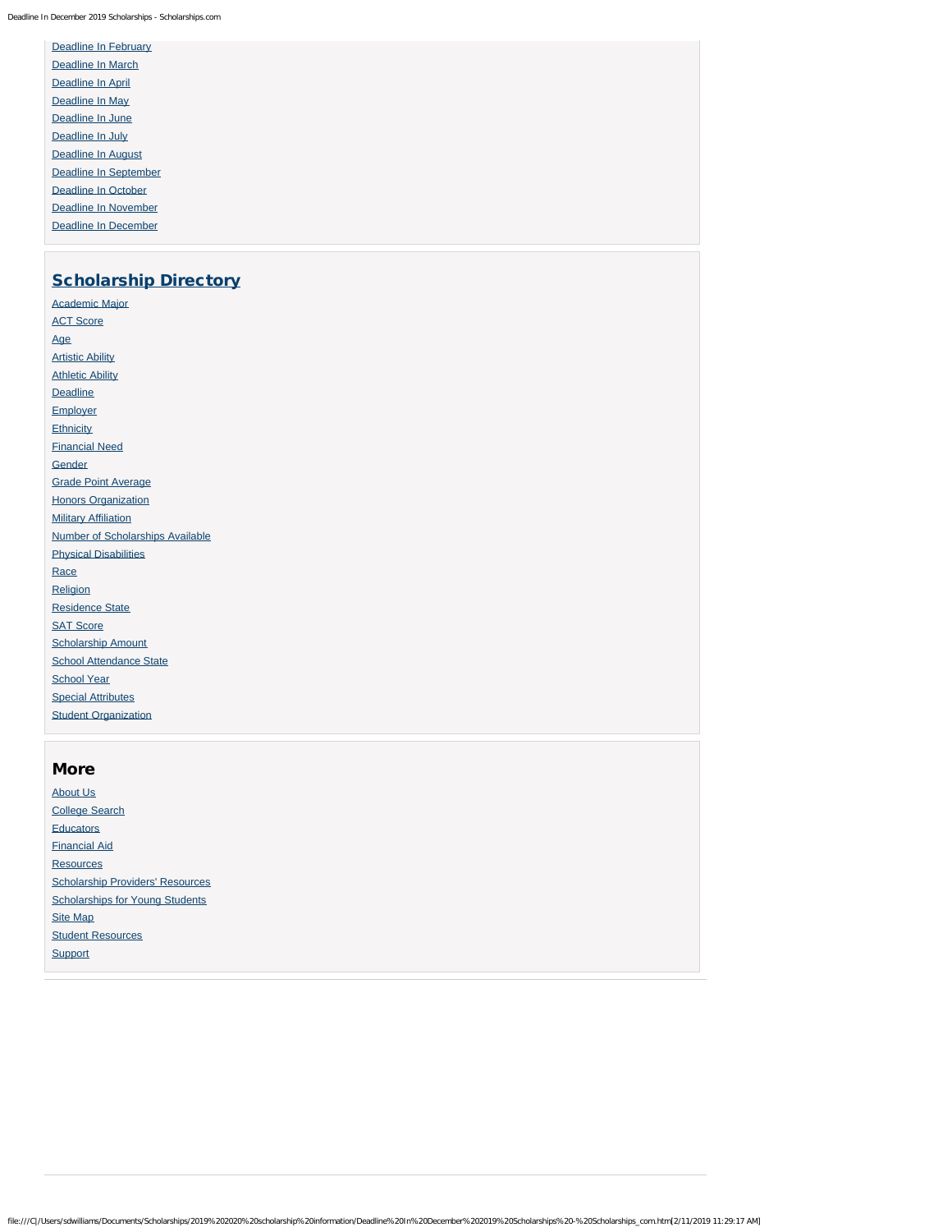Deadline In December 2019 Scholarships - Scholarships.com

| <b>Deadline In February</b>  |
|------------------------------|
| Deadline In March            |
| Deadline In April            |
| Deadline In May              |
| Deadline In June             |
| Deadline In July             |
| <b>Deadline In August</b>    |
| <b>Deadline In September</b> |
| <b>Deadline In October</b>   |
| Deadline In November         |
| <b>Deadline In December</b>  |

#### **[Scholarship Directory](https://www.scholarships.com/financial-aid/college-scholarships/scholarship-directory)**

[Academic Major](https://www.scholarships.com/financial-aid/college-scholarships/scholarship-directory/academic-major) **[ACT Score](https://www.scholarships.com/financial-aid/college-scholarships/scholarship-directory/act-score)** [Age](https://www.scholarships.com/financial-aid/college-scholarships/scholarship-directory/age) [Artistic Ability](https://www.scholarships.com/financial-aid/college-scholarships/scholarship-directory/artistic-ability) **[Athletic Ability](https://www.scholarships.com/financial-aid/college-scholarships/scholarship-directory/athletic-ability) [Deadline](https://www.scholarships.com/financial-aid/college-scholarships/scholarship-directory/deadline) [Employer](https://www.scholarships.com/financial-aid/college-scholarships/scholarship-directory/employer) [Ethnicity](https://www.scholarships.com/financial-aid/college-scholarships/scholarship-directory/ethnicity)** [Financial Need](https://www.scholarships.com/financial-aid/college-scholarships/scholarship-directory/financial-need) **[Gender](https://www.scholarships.com/financial-aid/college-scholarships/scholarship-directory/gender)** [Grade Point Average](https://www.scholarships.com/financial-aid/college-scholarships/scholarship-directory/grade-point-average) **[Honors Organization](https://www.scholarships.com/financial-aid/college-scholarships/scholarship-directory/honors-organization) [Military Affiliation](https://www.scholarships.com/financial-aid/college-scholarships/scholarship-directory/military-affiliation)** [Number of Scholarships Available](https://www.scholarships.com/financial-aid/college-scholarships/scholarship-directory/number-of-scholarships-available) [Physical Disabilities](https://www.scholarships.com/financial-aid/college-scholarships/scholarship-directory/physical-disabilities) [Race](https://www.scholarships.com/financial-aid/college-scholarships/scholarship-directory/race) [Religion](https://www.scholarships.com/financial-aid/college-scholarships/scholarship-directory/religion) [Residence State](https://www.scholarships.com/financial-aid/college-scholarships/scholarship-directory/residence-state) [SAT Score](https://www.scholarships.com/financial-aid/college-scholarships/scholarship-directory/sat-score) [Scholarship Amount](https://www.scholarships.com/financial-aid/college-scholarships/scholarship-directory/scholarship-amount) [School Attendance State](https://www.scholarships.com/financial-aid/college-scholarships/scholarship-directory/school-attendance-state) [School Year](https://www.scholarships.com/financial-aid/college-scholarships/scholarship-directory/school-year) **[Special Attributes](https://www.scholarships.com/financial-aid/college-scholarships/scholarship-directory/special-attributes) [Student Organization](https://www.scholarships.com/financial-aid/college-scholarships/scholarship-directory/student-organization)** 

# More

[About Us](https://www.scholarships.com/about-us/) [College Search](https://www.scholarships.com/college-search/) **[Educators](https://www.scholarships.com/educators/)** [Financial Aid](https://www.scholarships.com/financial-aid/) **[Resources](https://www.scholarships.com/resources/)** [Scholarship Providers' Resources](https://www.scholarships.com/scholarship-providers-resources/) **[Scholarships for Young Students](https://www.scholarships.com/scholarships-for-young-students/)** [Site Map](https://www.scholarships.com/site-map/) **[Student Resources](https://www.scholarships.com/student-resources/) [Support](https://www.scholarships.com/support/)**